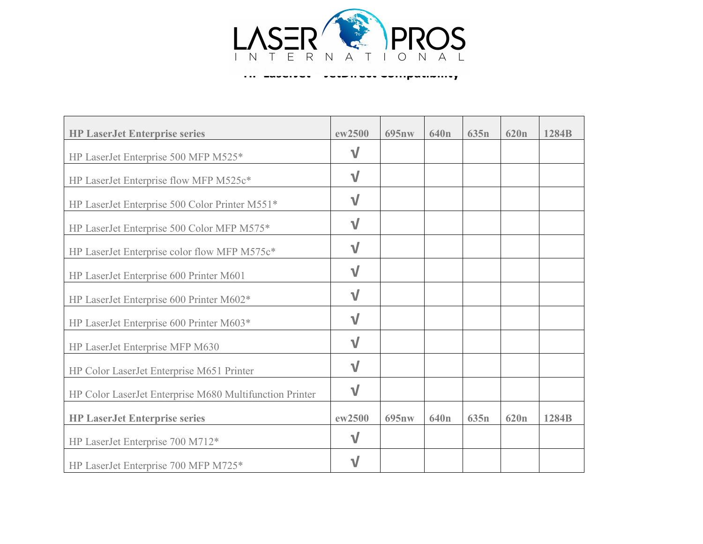

**HP LaserJet – JetDirect Compatibility** 

| <b>HP LaserJet Enterprise series</b>                    | ew2500      | 695nw | 640 <sub>n</sub> | 635n             | 620 <sub>n</sub> | 1284B |
|---------------------------------------------------------|-------------|-------|------------------|------------------|------------------|-------|
| HP LaserJet Enterprise 500 MFP M525*                    | $\sqrt{}$   |       |                  |                  |                  |       |
| HP LaserJet Enterprise flow MFP M525c*                  | $\sqrt{}$   |       |                  |                  |                  |       |
| HP LaserJet Enterprise 500 Color Printer M551*          | $\sf V$     |       |                  |                  |                  |       |
| HP LaserJet Enterprise 500 Color MFP M575*              | $\sqrt{}$   |       |                  |                  |                  |       |
| HP LaserJet Enterprise color flow MFP M575c*            | $\mathbf v$ |       |                  |                  |                  |       |
| HP LaserJet Enterprise 600 Printer M601                 | $\sqrt{}$   |       |                  |                  |                  |       |
| HP LaserJet Enterprise 600 Printer M602*                | $\sf V$     |       |                  |                  |                  |       |
| HP LaserJet Enterprise 600 Printer M603*                | $\sqrt{}$   |       |                  |                  |                  |       |
| HP LaserJet Enterprise MFP M630                         | $\mathbf v$ |       |                  |                  |                  |       |
| HP Color LaserJet Enterprise M651 Printer               | $\sqrt{}$   |       |                  |                  |                  |       |
| HP Color LaserJet Enterprise M680 Multifunction Printer | $\sqrt{ }$  |       |                  |                  |                  |       |
| <b>HP LaserJet Enterprise series</b>                    | ew2500      | 695nw | 640 <sub>n</sub> | 635 <sub>n</sub> | 620 <sub>n</sub> | 1284B |
| HP LaserJet Enterprise 700 M712*                        | $\sqrt{}$   |       |                  |                  |                  |       |
| HP LaserJet Enterprise 700 MFP M725*                    | $\sf V$     |       |                  |                  |                  |       |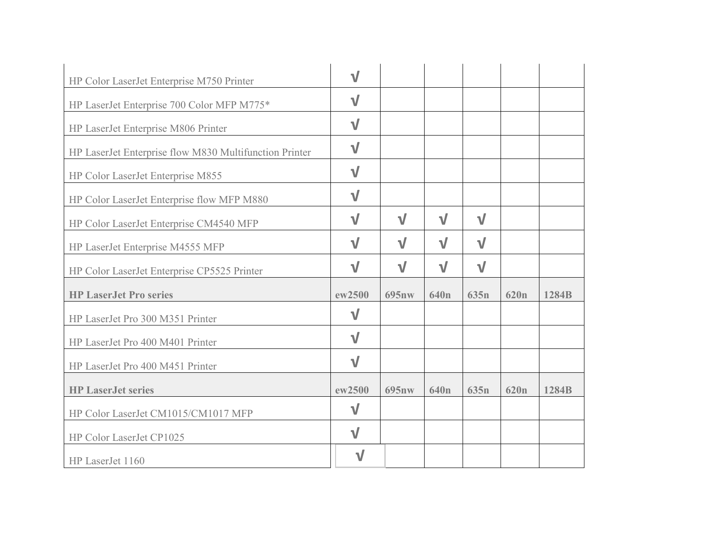| HP Color LaserJet Enterprise M750 Printer              | $\sqrt{}$   |           |                  |                  |                  |       |
|--------------------------------------------------------|-------------|-----------|------------------|------------------|------------------|-------|
| HP LaserJet Enterprise 700 Color MFP M775*             | $\sqrt{}$   |           |                  |                  |                  |       |
| HP LaserJet Enterprise M806 Printer                    | $\sqrt{}$   |           |                  |                  |                  |       |
| HP LaserJet Enterprise flow M830 Multifunction Printer | $\sqrt{}$   |           |                  |                  |                  |       |
| HP Color LaserJet Enterprise M855                      | $\sqrt{}$   |           |                  |                  |                  |       |
| HP Color LaserJet Enterprise flow MFP M880             | $\sqrt{}$   |           |                  |                  |                  |       |
| HP Color LaserJet Enterprise CM4540 MFP                | $\sqrt{}$   | $\sqrt{}$ | $\sqrt{}$        | $\sqrt{}$        |                  |       |
| HP LaserJet Enterprise M4555 MFP                       | $\sqrt{}$   | $\sqrt{}$ | $\sqrt{}$        | $\sqrt{}$        |                  |       |
| HP Color LaserJet Enterprise CP5525 Printer            | $\sqrt{}$   | $\sqrt{}$ | $\sqrt{}$        | $\sqrt{}$        |                  |       |
| <b>HP LaserJet Pro series</b>                          | ew2500      | 695nw     | 640 <sub>n</sub> | 635 <sub>n</sub> | 620 <sub>n</sub> | 1284B |
| HP LaserJet Pro 300 M351 Printer                       | $\sqrt{}$   |           |                  |                  |                  |       |
| HP LaserJet Pro 400 M401 Printer                       | $\sqrt{}$   |           |                  |                  |                  |       |
| HP LaserJet Pro 400 M451 Printer                       | $\sqrt{}$   |           |                  |                  |                  |       |
| <b>HP LaserJet series</b>                              | ew2500      | 695nw     | 640 <sub>n</sub> | 635 <sub>n</sub> | 620 <sub>n</sub> | 1284B |
| HP Color LaserJet CM1015/CM1017 MFP                    | $\sqrt{}$   |           |                  |                  |                  |       |
| HP Color LaserJet CP1025                               | $\sqrt{}$   |           |                  |                  |                  |       |
| HP LaserJet 1160                                       | $\mathbf v$ |           |                  |                  |                  |       |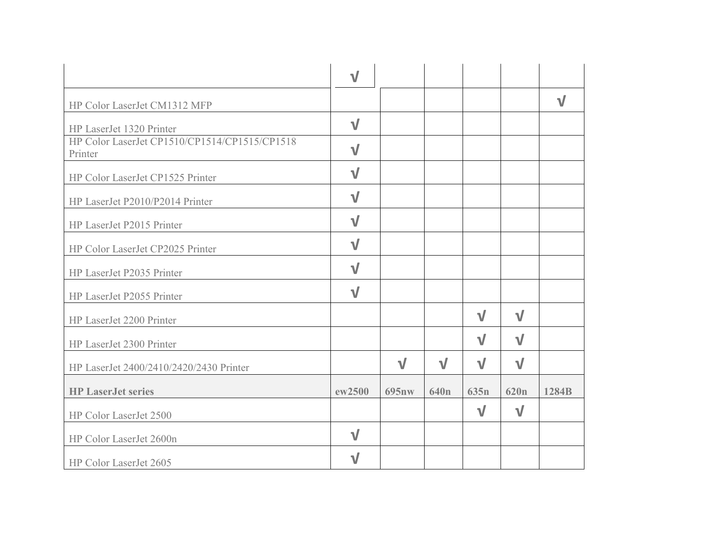|                                                          | $\sqrt{}$ |           |                  |           |                  |           |
|----------------------------------------------------------|-----------|-----------|------------------|-----------|------------------|-----------|
| HP Color LaserJet CM1312 MFP                             |           |           |                  |           |                  | $\sqrt{}$ |
| HP LaserJet 1320 Printer                                 | $\sqrt{}$ |           |                  |           |                  |           |
| HP Color LaserJet CP1510/CP1514/CP1515/CP1518<br>Printer | $\sqrt{}$ |           |                  |           |                  |           |
| HP Color LaserJet CP1525 Printer                         | $\sqrt{}$ |           |                  |           |                  |           |
| HP LaserJet P2010/P2014 Printer                          | $\sqrt{}$ |           |                  |           |                  |           |
| HP LaserJet P2015 Printer                                | $\sqrt{}$ |           |                  |           |                  |           |
| HP Color LaserJet CP2025 Printer                         | $\sqrt{}$ |           |                  |           |                  |           |
| HP LaserJet P2035 Printer                                | $\sqrt{}$ |           |                  |           |                  |           |
| HP LaserJet P2055 Printer                                | $\sqrt{}$ |           |                  |           |                  |           |
| HP LaserJet 2200 Printer                                 |           |           |                  | $\sqrt{}$ | $\sqrt{}$        |           |
| HP LaserJet 2300 Printer                                 |           |           |                  | $\sqrt{}$ | $\sqrt{}$        |           |
| HP LaserJet 2400/2410/2420/2430 Printer                  |           | $\sqrt{}$ | $\sqrt{}$        | $\sqrt{}$ | $\sqrt{}$        |           |
| <b>HP LaserJet series</b>                                | ew2500    | 695nw     | 640 <sub>n</sub> | 635n      | 620 <sub>n</sub> | 1284B     |
| HP Color LaserJet 2500                                   |           |           |                  | $\sqrt{}$ | $\sqrt{}$        |           |
| HP Color LaserJet 2600n                                  | $\sqrt{}$ |           |                  |           |                  |           |
| HP Color LaserJet 2605                                   | V         |           |                  |           |                  |           |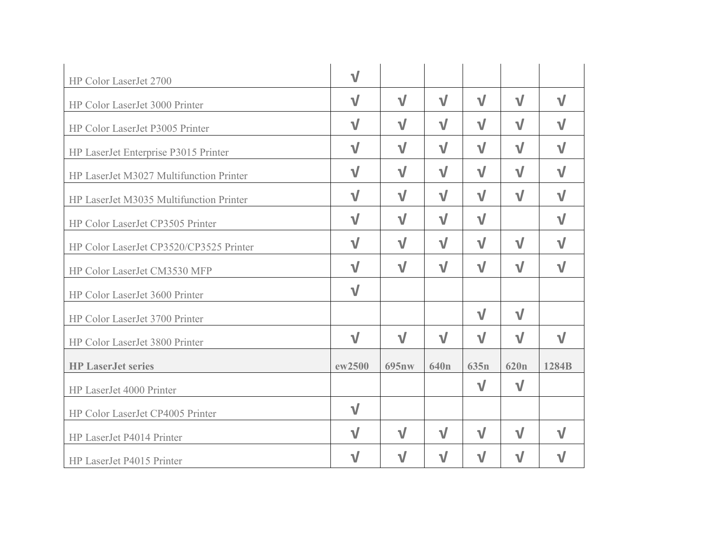| HP Color LaserJet 2700                  | $\sqrt{}$   |           |                  |             |                  |           |
|-----------------------------------------|-------------|-----------|------------------|-------------|------------------|-----------|
| HP Color LaserJet 3000 Printer          | $\sqrt{}$   | $\sqrt{}$ | $\sqrt{}$        | $\sqrt{}$   | $\sqrt{}$        | $\sqrt{}$ |
| HP Color LaserJet P3005 Printer         | $\sqrt{}$   | $\sqrt{}$ | $\sqrt{}$        | $\sqrt{}$   | $\sqrt{}$        | $\sqrt{}$ |
| HP LaserJet Enterprise P3015 Printer    | $\sqrt{}$   | $\sqrt{}$ | $\sqrt{}$        | $\sqrt{}$   | $\sqrt{}$        | $\sqrt{}$ |
| HP LaserJet M3027 Multifunction Printer | $\sqrt{}$   | $\sqrt{}$ | $\sqrt{}$        | $\sqrt{}$   | $\sqrt{}$        | $\sqrt{}$ |
| HP LaserJet M3035 Multifunction Printer | $\sqrt{}$   | $\sqrt{}$ | $\sqrt{}$        | $\sqrt{}$   | $\sqrt{ }$       | $\sqrt{}$ |
| HP Color LaserJet CP3505 Printer        | $\sqrt{}$   | $\sqrt{}$ | $\sqrt{}$        | $\sqrt{}$   |                  | $\sqrt{}$ |
| HP Color LaserJet CP3520/CP3525 Printer | $\sqrt{}$   | $\sqrt{}$ | $\sqrt{}$        | $\sqrt{}$   | $\sqrt{}$        | $\sqrt{}$ |
| HP Color LaserJet CM3530 MFP            | $\sqrt{}$   | $\sqrt{}$ | $\sqrt{}$        | $\sqrt{}$   | $\sqrt{}$        | $\sqrt{}$ |
| HP Color LaserJet 3600 Printer          | $\sqrt{}$   |           |                  |             |                  |           |
| HP Color LaserJet 3700 Printer          |             |           |                  | $\sqrt{}$   | $\sqrt{}$        |           |
| HP Color LaserJet 3800 Printer          | $\sqrt{}$   | $\sqrt{}$ | $\sqrt{}$        | $\sqrt{}$   | $\sqrt{}$        | $\sqrt{}$ |
| <b>HP LaserJet series</b>               | ew2500      | 695nw     | 640 <sub>n</sub> | 635n        | 620 <sub>n</sub> | 1284B     |
| HP LaserJet 4000 Printer                |             |           |                  | $\sqrt{}$   | $\sqrt{}$        |           |
| HP Color LaserJet CP4005 Printer        | $\sqrt{}$   |           |                  |             |                  |           |
| HP LaserJet P4014 Printer               | $\sqrt{}$   | $\sqrt{}$ | $\sqrt{ }$       | $\sqrt{}$   | $\sqrt{}$        | $\sqrt{}$ |
| HP LaserJet P4015 Printer               | $\mathbf v$ | $\sqrt{}$ | $\sqrt{}$        | $\mathbf v$ | $\sqrt{}$        | $\sqrt{}$ |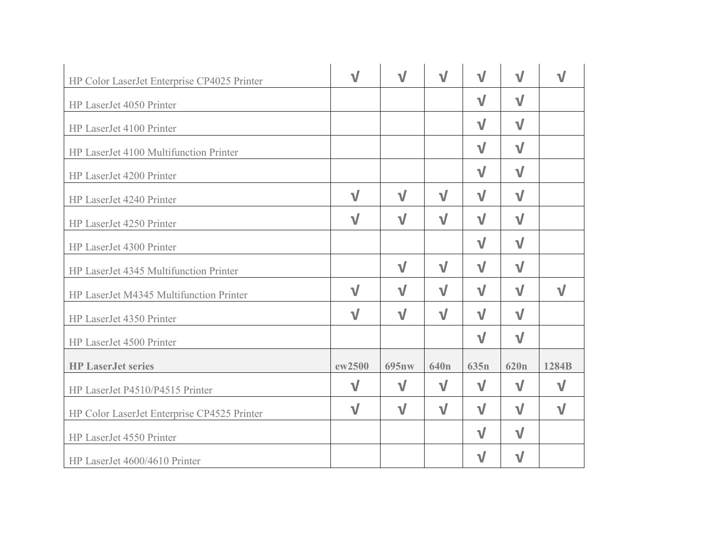| HP Color LaserJet Enterprise CP4025 Printer | $\sqrt{}$ | $\sqrt{}$ | $\sqrt{}$        | $\sqrt{}$        | $\sqrt{}$        | V         |
|---------------------------------------------|-----------|-----------|------------------|------------------|------------------|-----------|
| HP LaserJet 4050 Printer                    |           |           |                  | $\sqrt{}$        | $\sqrt{}$        |           |
| HP LaserJet 4100 Printer                    |           |           |                  | $\sqrt{}$        | $\sqrt{}$        |           |
| HP LaserJet 4100 Multifunction Printer      |           |           |                  | $\sqrt{}$        | $\sqrt{}$        |           |
| HP LaserJet 4200 Printer                    |           |           |                  | $\sqrt{}$        | $\sqrt{}$        |           |
| HP LaserJet 4240 Printer                    | $\sqrt{}$ | $\sqrt{}$ | $\sqrt{}$        | $\sqrt{ }$       | $\sqrt{}$        |           |
| HP LaserJet 4250 Printer                    | $\sqrt{}$ | $\sqrt{}$ | $\sqrt{}$        | $\sqrt{}$        | $\sqrt{}$        |           |
| HP LaserJet 4300 Printer                    |           |           |                  | $\sqrt{}$        | $\sqrt{}$        |           |
| HP LaserJet 4345 Multifunction Printer      |           | $\sqrt{}$ | $\sqrt{}$        | $\sqrt{}$        | $\sqrt{}$        |           |
| HP LaserJet M4345 Multifunction Printer     | $\sqrt{}$ | $\sqrt{}$ | $\sqrt{}$        | $\sqrt{}$        | $\sqrt{}$        | $\sqrt{}$ |
| HP LaserJet 4350 Printer                    | $\sqrt{}$ | $\sqrt{}$ | $\sqrt{ }$       | $\sqrt{}$        | $\sqrt{}$        |           |
| HP LaserJet 4500 Printer                    |           |           |                  | $\sqrt{}$        | $\sqrt{}$        |           |
| <b>HP LaserJet series</b>                   | ew2500    | 695nw     | 640 <sub>n</sub> | 635 <sub>n</sub> | 620 <sub>n</sub> | 1284B     |
| HP LaserJet P4510/P4515 Printer             | $\sqrt{}$ | $\sqrt{}$ | $\sqrt{}$        | $\sqrt{}$        | $\sqrt{}$        | $\sqrt{}$ |
| HP Color LaserJet Enterprise CP4525 Printer | $\sqrt{}$ | $\sqrt{}$ | $\sqrt{ }$       | $\sqrt{ }$       | $\sqrt{}$        | $\sqrt{}$ |
| HP LaserJet 4550 Printer                    |           |           |                  | $\sqrt{}$        | $\sqrt{}$        |           |
| HP LaserJet 4600/4610 Printer               |           |           |                  | $\mathbf v$      | $\sqrt{}$        |           |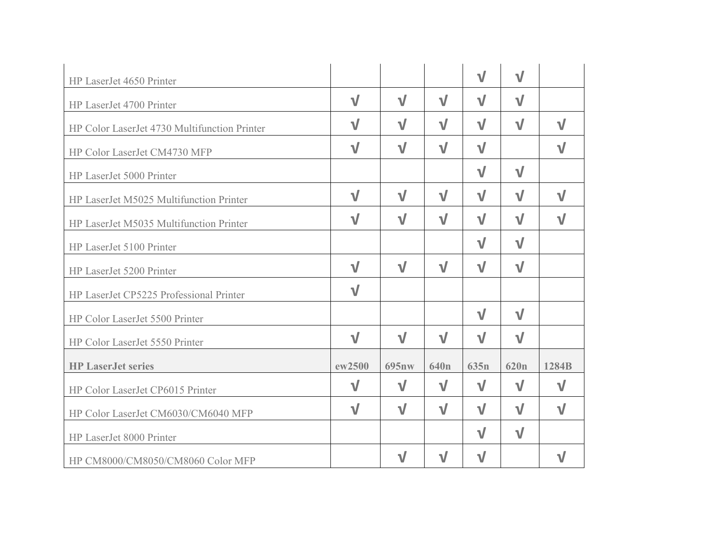| HP LaserJet 4650 Printer                     |           |             |                  | $\sqrt{}$        | $\sqrt{}$        |           |
|----------------------------------------------|-----------|-------------|------------------|------------------|------------------|-----------|
| HP LaserJet 4700 Printer                     | $\sqrt{}$ | $\sqrt{}$   | $\sqrt{}$        | $\sqrt{}$        | $\sqrt{}$        |           |
| HP Color LaserJet 4730 Multifunction Printer | $\sqrt{}$ | $\sqrt{}$   | $\sqrt{}$        | $\sqrt{}$        | $\sqrt{}$        | $\sqrt{}$ |
| HP Color LaserJet CM4730 MFP                 | $\sqrt{}$ | $\sqrt{}$   | $\sqrt{}$        | $\sqrt{}$        |                  | $\sqrt{}$ |
| HP LaserJet 5000 Printer                     |           |             |                  | $\sqrt{}$        | $\sqrt{}$        |           |
| HP LaserJet M5025 Multifunction Printer      | $\sqrt{}$ | $\sqrt{}$   | $\sqrt{ }$       | $\sqrt{}$        | $\sqrt{}$        | $\sqrt{}$ |
| HP LaserJet M5035 Multifunction Printer      | $\sqrt{}$ | $\sqrt{}$   | $\sqrt{}$        | $\sqrt{}$        | $\sqrt{}$        | $\sqrt{}$ |
| HP LaserJet 5100 Printer                     |           |             |                  | $\sqrt{}$        | $\sqrt{}$        |           |
| HP LaserJet 5200 Printer                     | $\sqrt{}$ | $\sqrt{}$   | $\sqrt{}$        | $\sqrt{}$        | $\sqrt{}$        |           |
| HP LaserJet CP5225 Professional Printer      | $\sqrt{}$ |             |                  |                  |                  |           |
| HP Color LaserJet 5500 Printer               |           |             |                  | $\sqrt{}$        | $\sqrt{}$        |           |
| HP Color LaserJet 5550 Printer               | $\sqrt{}$ | $\sqrt{}$   | $\sqrt{}$        | $\sqrt{ }$       | $\sqrt{}$        |           |
| <b>HP LaserJet series</b>                    | ew2500    | 695nw       | 640 <sub>n</sub> | 635 <sub>n</sub> | 620 <sub>n</sub> | 1284B     |
| HP Color LaserJet CP6015 Printer             | $\sqrt{}$ | $\sqrt{}$   | $\sqrt{ }$       | $\sqrt{}$        | $\sqrt{}$        | $\sqrt{}$ |
| HP Color LaserJet CM6030/CM6040 MFP          | $\sqrt{}$ | $\sqrt{}$   | $\sqrt{}$        | $\sqrt{}$        | $\sqrt{}$        | $\sqrt{}$ |
| HP LaserJet 8000 Printer                     |           |             |                  | $\sqrt{}$        | $\sqrt{}$        |           |
| HP CM8000/CM8050/CM8060 Color MFP            |           | $\mathbf v$ | $\sqrt{}$        | $\sqrt{}$        |                  | V         |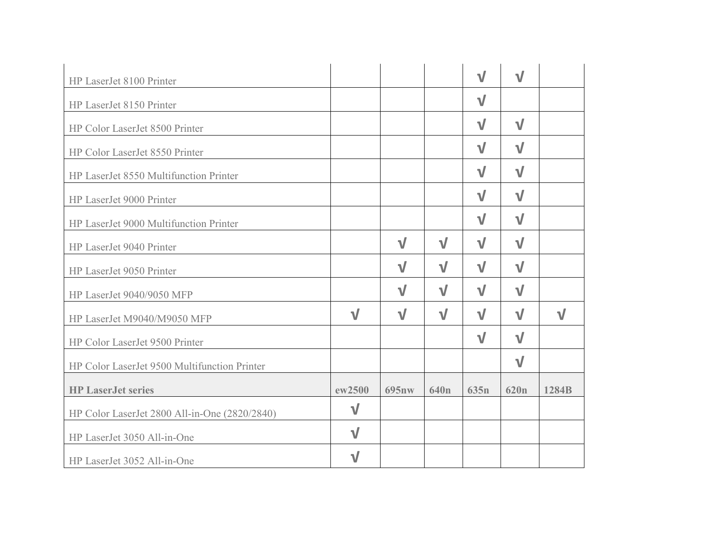| HP LaserJet 8100 Printer                      |           |              |                  | $\sqrt{}$        | $\sqrt{}$        |           |
|-----------------------------------------------|-----------|--------------|------------------|------------------|------------------|-----------|
| HP LaserJet 8150 Printer                      |           |              |                  | $\sqrt{}$        |                  |           |
| HP Color LaserJet 8500 Printer                |           |              |                  | $\sqrt{}$        | $\sqrt{}$        |           |
| HP Color LaserJet 8550 Printer                |           |              |                  | $\sqrt{}$        | $\sqrt{}$        |           |
| HP LaserJet 8550 Multifunction Printer        |           |              |                  | $\sqrt{}$        | $\sqrt{}$        |           |
| HP LaserJet 9000 Printer                      |           |              |                  | $\sqrt{}$        | $\sqrt{}$        |           |
| HP LaserJet 9000 Multifunction Printer        |           |              |                  | $\sqrt{}$        | $\sqrt{}$        |           |
| HP LaserJet 9040 Printer                      |           | $\sqrt{}$    | $\sqrt{}$        | $\sqrt{}$        | $\sqrt{}$        |           |
| HP LaserJet 9050 Printer                      |           | $\sqrt{}$    | $\sqrt{}$        | $\sqrt{}$        | $\sqrt{}$        |           |
| HP LaserJet 9040/9050 MFP                     |           | $\sqrt{}$    | $\sqrt{}$        | $\sqrt{}$        | $\sqrt{}$        |           |
| HP LaserJet M9040/M9050 MFP                   | $\sqrt{}$ | $\sqrt{}$    | $\sqrt{}$        | $\sqrt{}$        | $\sqrt{}$        | $\sqrt{}$ |
| HP Color LaserJet 9500 Printer                |           |              |                  | $\sqrt{}$        | $\sqrt{}$        |           |
| HP Color LaserJet 9500 Multifunction Printer  |           |              |                  |                  | $\sqrt{}$        |           |
| <b>HP LaserJet series</b>                     | ew2500    | <b>695nw</b> | 640 <sub>n</sub> | 635 <sub>n</sub> | 620 <sub>n</sub> | 1284B     |
| HP Color LaserJet 2800 All-in-One (2820/2840) | $\sqrt{}$ |              |                  |                  |                  |           |
| HP LaserJet 3050 All-in-One                   | $\sqrt{}$ |              |                  |                  |                  |           |
| HP LaserJet 3052 All-in-One                   | $\sqrt{}$ |              |                  |                  |                  |           |